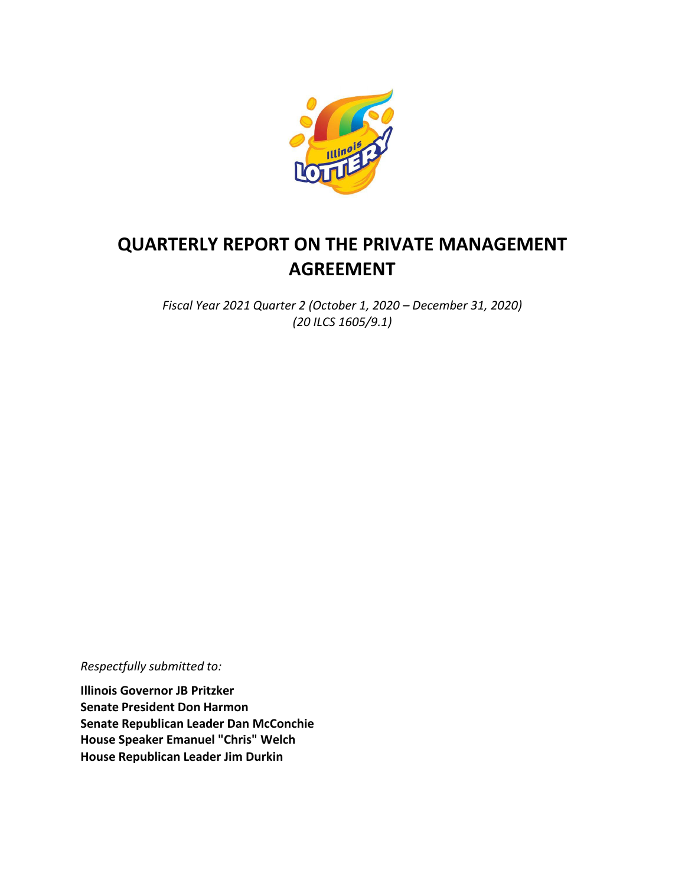

# **QUARTERLY REPORT ON THE PRIVATE MANAGEMENT AGREEMENT**

*Fiscal Year 2021 Quarter 2 (October 1, 2020 – December 31, 2020) (20 ILCS 1605/9.1)*

*Respectfully submitted to:*

**Illinois Governor JB Pritzker Senate President Don Harmon Senate Republican Leader Dan McConchie House Speaker Emanuel "Chris" Welch House Republican Leader Jim Durkin**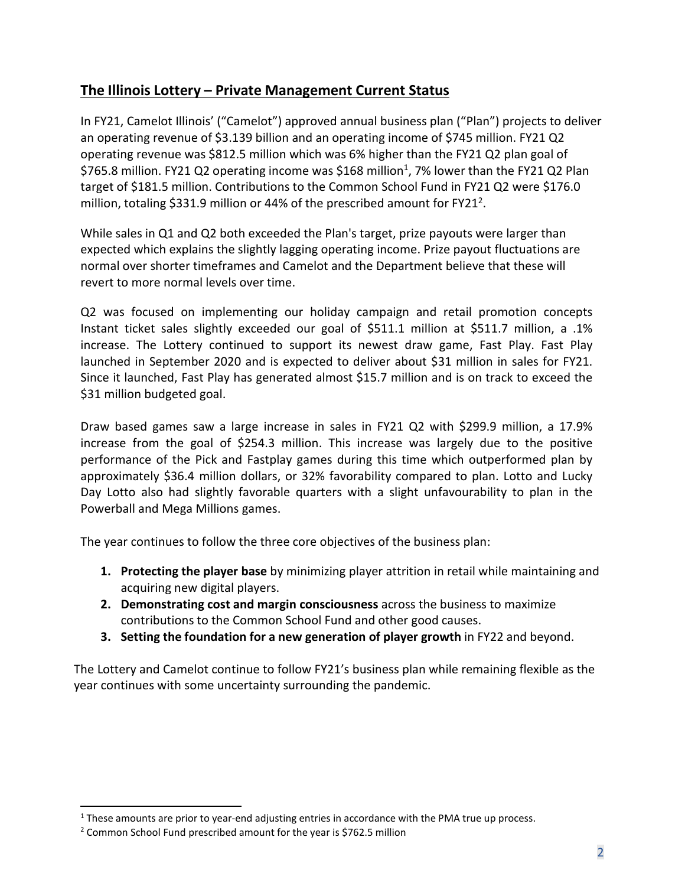# **The Illinois Lottery – Private Management Current Status**

In FY21, Camelot Illinois' ("Camelot") approved annual business plan ("Plan") projects to deliver an operating revenue of \$3.139 billion and an operating income of \$745 million. FY21 Q2 operating revenue was \$812.5 million which was 6% higher than the FY21 Q2 plan goal of \$765.8 million. FY21 Q2 operating income was \$168 million<sup>1</sup>, 7% lower than the FY21 Q2 Plan target of \$181.5 million. Contributions to the Common School Fund in FY21 Q2 were \$176.0 million, totaling \$331.9 million or 44% of the prescribed amount for FY21<sup>2</sup>.

While sales in Q1 and Q2 both exceeded the Plan's target, prize payouts were larger than expected which explains the slightly lagging operating income. Prize payout fluctuations are normal over shorter timeframes and Camelot and the Department believe that these will revert to more normal levels over time.

Q2 was focused on implementing our holiday campaign and retail promotion concepts Instant ticket sales slightly exceeded our goal of \$511.1 million at \$511.7 million, a .1% increase. The Lottery continued to support its newest draw game, Fast Play. Fast Play launched in September 2020 and is expected to deliver about \$31 million in sales for FY21. Since it launched, Fast Play has generated almost \$15.7 million and is on track to exceed the \$31 million budgeted goal.

Draw based games saw a large increase in sales in FY21 Q2 with \$299.9 million, a 17.9% increase from the goal of \$254.3 million. This increase was largely due to the positive performance of the Pick and Fastplay games during this time which outperformed plan by approximately \$36.4 million dollars, or 32% favorability compared to plan. Lotto and Lucky Day Lotto also had slightly favorable quarters with a slight unfavourability to plan in the Powerball and Mega Millions games.

The year continues to follow the three core objectives of the business plan:

- **1. Protecting the player base** by minimizing player attrition in retail while maintaining and acquiring new digital players.
- **2. Demonstrating cost and margin consciousness** across the business to maximize contributions to the Common School Fund and other good causes.
- **3. Setting the foundation for a new generation of player growth** in FY22 and beyond.

The Lottery and Camelot continue to follow FY21's business plan while remaining flexible as the year continues with some uncertainty surrounding the pandemic.

<span id="page-1-0"></span> $<sup>1</sup>$  These amounts are prior to year-end adjusting entries in accordance with the PMA true up process.</sup>

<span id="page-1-1"></span><sup>&</sup>lt;sup>2</sup> Common School Fund prescribed amount for the year is \$762.5 million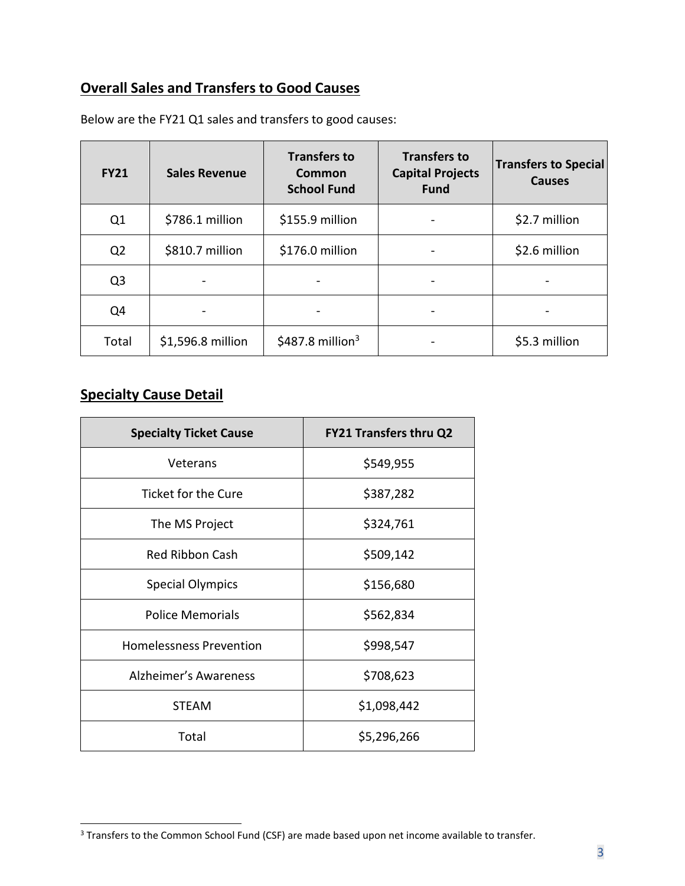# **Overall Sales and Transfers to Good Causes**

| <b>FY21</b>    | <b>Sales Revenue</b> | <b>Transfers to</b><br><b>Common</b><br><b>School Fund</b> | <b>Transfers to</b><br><b>Capital Projects</b><br><b>Fund</b> | <b>Transfers to Special</b><br><b>Causes</b> |
|----------------|----------------------|------------------------------------------------------------|---------------------------------------------------------------|----------------------------------------------|
| Q1             | \$786.1 million      | \$155.9 million                                            |                                                               | \$2.7 million                                |
| Q <sub>2</sub> | \$810.7 million      | \$176.0 million                                            |                                                               | \$2.6 million                                |
| Q <sub>3</sub> |                      |                                                            |                                                               |                                              |
| Q4             |                      |                                                            |                                                               |                                              |
| Total          | \$1,596.8 million    | \$487.8 million <sup>3</sup>                               |                                                               | \$5.3 million                                |

Below are the FY21 Q1 sales and transfers to good causes:

#### **Specialty Cause Detail**

| <b>Specialty Ticket Cause</b>  | <b>FY21 Transfers thru Q2</b> |  |
|--------------------------------|-------------------------------|--|
| Veterans                       | \$549,955                     |  |
| Ticket for the Cure            | \$387,282                     |  |
| The MS Project                 | \$324,761                     |  |
| <b>Red Ribbon Cash</b>         | \$509,142                     |  |
| <b>Special Olympics</b>        | \$156,680                     |  |
| <b>Police Memorials</b>        | \$562,834                     |  |
| <b>Homelessness Prevention</b> | \$998,547                     |  |
| Alzheimer's Awareness          | \$708,623                     |  |
| <b>STEAM</b>                   | \$1,098,442                   |  |
| Total                          | \$5,296,266                   |  |

<sup>&</sup>lt;sup>3</sup> Transfers to the Common School Fund (CSF) are made based upon net income available to transfer.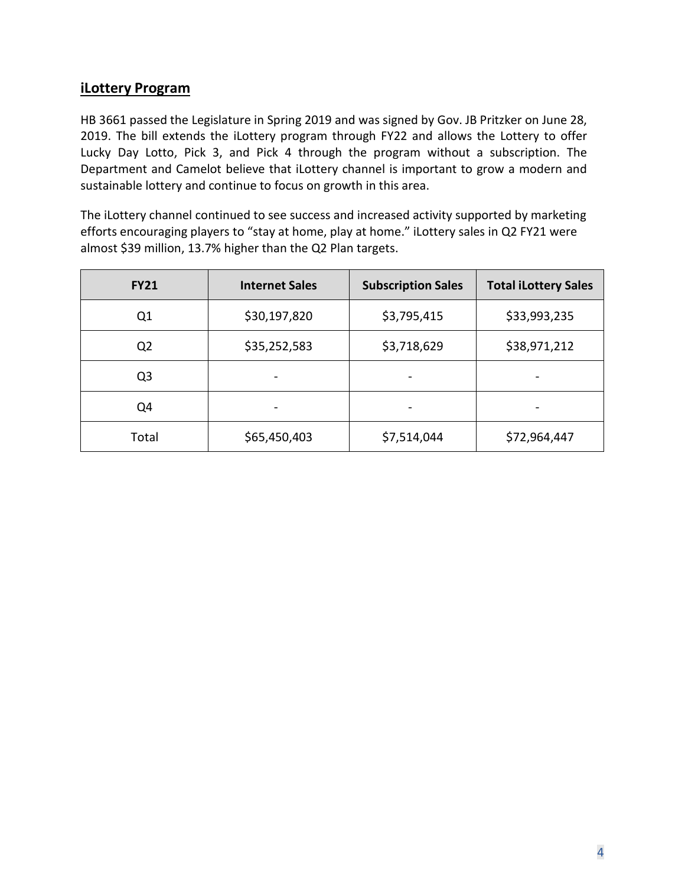#### **iLottery Program**

HB 3661 passed the Legislature in Spring 2019 and was signed by Gov. JB Pritzker on June 28, 2019. The bill extends the iLottery program through FY22 and allows the Lottery to offer Lucky Day Lotto, Pick 3, and Pick 4 through the program without a subscription. The Department and Camelot believe that iLottery channel is important to grow a modern and sustainable lottery and continue to focus on growth in this area.

The iLottery channel continued to see success and increased activity supported by marketing efforts encouraging players to "stay at home, play at home." iLottery sales in Q2 FY21 were almost \$39 million, 13.7% higher than the Q2 Plan targets.

| <b>FY21</b>    | <b>Internet Sales</b> | <b>Subscription Sales</b> | <b>Total iLottery Sales</b> |
|----------------|-----------------------|---------------------------|-----------------------------|
| Q1             | \$30,197,820          | \$3,795,415               | \$33,993,235                |
| Q <sub>2</sub> | \$35,252,583          | \$3,718,629               | \$38,971,212                |
| Q <sub>3</sub> |                       |                           |                             |
| Q4             |                       |                           |                             |
| Total          | \$65,450,403          | \$7,514,044               | \$72,964,447                |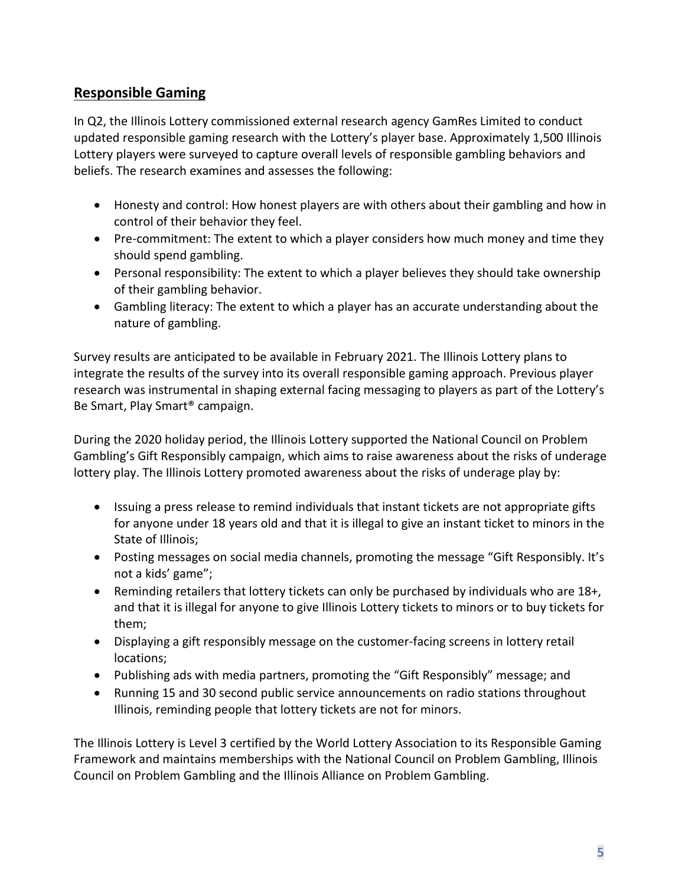## **Responsible Gaming**

In Q2, the Illinois Lottery commissioned external research agency GamRes Limited to conduct updated responsible gaming research with the Lottery's player base. Approximately 1,500 Illinois Lottery players were surveyed to capture overall levels of responsible gambling behaviors and beliefs. The research examines and assesses the following:

- Honesty and control: How honest players are with others about their gambling and how in control of their behavior they feel.
- Pre-commitment: The extent to which a player considers how much money and time they should spend gambling.
- Personal responsibility: The extent to which a player believes they should take ownership of their gambling behavior.
- Gambling literacy: The extent to which a player has an accurate understanding about the nature of gambling.

Survey results are anticipated to be available in February 2021. The Illinois Lottery plans to integrate the results of the survey into its overall responsible gaming approach. Previous player research was instrumental in shaping external facing messaging to players as part of the Lottery's Be Smart, Play Smart® campaign.

During the 2020 holiday period, the Illinois Lottery supported the National Council on Problem Gambling's Gift Responsibly campaign, which aims to raise awareness about the risks of underage lottery play. The Illinois Lottery promoted awareness about the risks of underage play by:

- Issuing a press release to remind individuals that instant tickets are not appropriate gifts for anyone under 18 years old and that it is illegal to give an instant ticket to minors in the State of Illinois;
- Posting messages on social media channels, promoting the message "Gift Responsibly. It's not a kids' game";
- Reminding retailers that lottery tickets can only be purchased by individuals who are 18+, and that it is illegal for anyone to give Illinois Lottery tickets to minors or to buy tickets for them;
- Displaying a gift responsibly message on the customer-facing screens in lottery retail locations;
- Publishing ads with media partners, promoting the "Gift Responsibly" message; and
- Running 15 and 30 second public service announcements on radio stations throughout Illinois, reminding people that lottery tickets are not for minors.

The Illinois Lottery is Level 3 certified by the World Lottery Association to its Responsible Gaming Framework and maintains memberships with the National Council on Problem Gambling, Illinois Council on Problem Gambling and the Illinois Alliance on Problem Gambling.